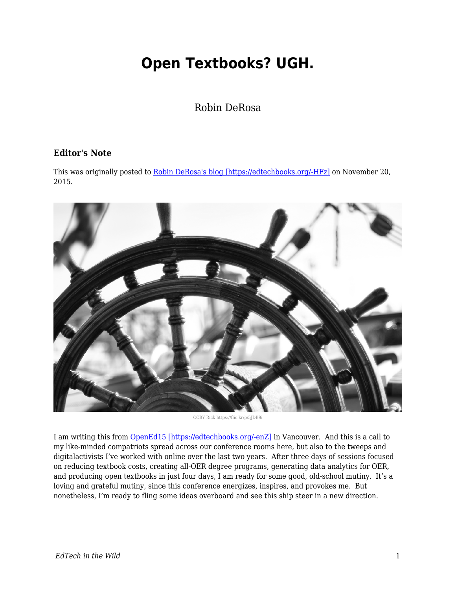## **Open Textbooks? UGH.**

Robin DeRosa

## **Editor's Note**

This was originally posted to [Robin DeRosa's blog \[https://edtechbooks.org/-HFz\]](http://robinderosa.net/uncategorized/open-textbooks-ugh/) on November 20, 2015.



CCBY Rick https://flic.kr/p/5JDB9i

I am writing this from [OpenEd15 \[https://edtechbooks.org/-enZ\]](http://openedconference.org/2015/) in Vancouver. And this is a call to my like-minded compatriots spread across our conference rooms here, but also to the tweeps and digitalactivists I've worked with online over the last two years. After three days of sessions focused on reducing textbook costs, creating all-OER degree programs, generating data analytics for OER, and producing open textbooks in just four days, I am ready for some good, old-school mutiny. It's a loving and grateful mutiny, since this conference energizes, inspires, and provokes me. But nonetheless, I'm ready to fling some ideas overboard and see this ship steer in a new direction.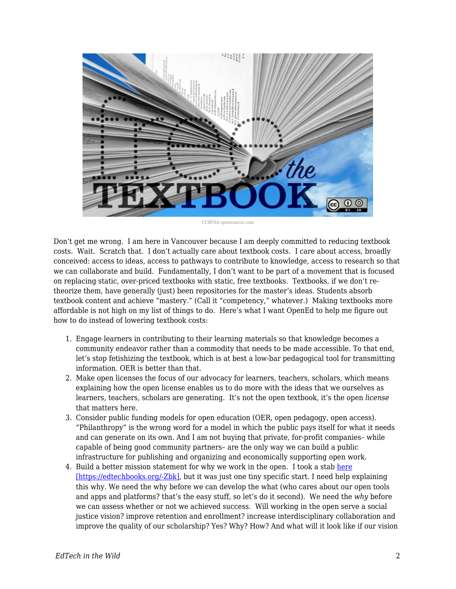

CCBYSA opensource.com

Don't get me wrong. I am here in Vancouver because I am deeply committed to reducing textbook costs. Wait. Scratch that. I don't actually care about textbook costs. I care about access, broadly conceived: access to ideas, access to pathways to contribute to knowledge, access to research so that we can collaborate and build. Fundamentally, I don't want to be part of a movement that is focused on replacing static, over-priced textbooks with static, free textbooks. Textbooks, if we don't retheorize them, have generally (just) been repositories for the master's ideas. Students absorb textbook content and achieve "mastery." (Call it "competency," whatever.) Making textbooks more affordable is not high on my list of things to do. Here's what I want OpenEd to help me figure out how to do instead of lowering textbook costs:

- 1. Engage learners in contributing to their learning materials so that knowledge becomes a community endeavor rather than a commodity that needs to be made accessible. To that end, let's stop fetishizing the textbook, which is at best a low-bar pedagogical tool for transmitting information. OER is better than that.
- 2. Make open licenses the focus of our advocacy for learners, teachers, scholars, which means explaining how the open license enables us to do more with the ideas that we ourselves as learners, teachers, scholars are generating. It's not the open textbook, it's the open *license* that matters here.
- 3. Consider public funding models for open education (OER, open pedagogy, open access). "Philanthropy" is the wrong word for a model in which the public pays itself for what it needs and can generate on its own. And I am not buying that private, for-profit companies– while capable of being good community partners– are the only way we can build a public infrastructure for publishing and organizing and economically supporting open work.
- 4. Build a better mission statement for why we work in the open. I took a stab [here](http://www.hybridpedagogy.com/journal/working-inat-public/) [\[https://edtechbooks.org/-Zbk\],](http://www.hybridpedagogy.com/journal/working-inat-public/) but it was just one tiny specific start. I need help explaining this why. We need the why before we can develop the what (who cares about our open tools and apps and platforms? that's the easy stuff, so let's do it second). We need the *why* before we can assess whether or not we achieved success. Will working in the open serve a social justice vision? improve retention and enrollment? increase interdisciplinary collaboration and improve the quality of our scholarship? Yes? Why? How? And what will it look like if our vision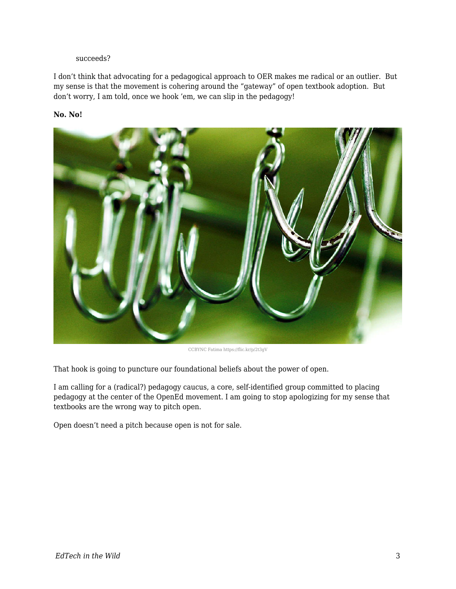## succeeds?

I don't think that advocating for a pedagogical approach to OER makes me radical or an outlier. But my sense is that the movement is cohering around the "gateway" of open textbook adoption. But don't worry, I am told, once we hook 'em, we can slip in the pedagogy!

## **No. No!**



CCBYNC Fatima https://flic.kr/p/2t3gV

That hook is going to puncture our foundational beliefs about the power of open.

I am calling for a (radical?) pedagogy caucus, a core, self-identified group committed to placing pedagogy at the center of the OpenEd movement. I am going to stop apologizing for my sense that textbooks are the wrong way to pitch open.

Open doesn't need a pitch because open is not for sale.